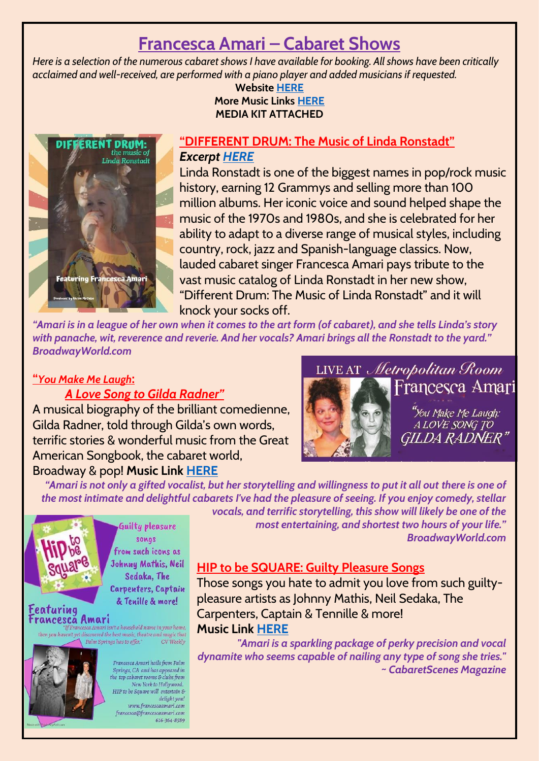# **Francesca Amari – Cabaret Shows**

*Here is a selection of the numerous cabaret shows I have available for booking. All shows have been critically acclaimed and well-received, are performed with a piano player and added musicians if requested.* 

**Website [HERE](http://www.francescaamari.com/) More Music Links [HERE](http://www.reverbnation.com/francescaamari) MEDIA KIT ATTACHED**



#### **"DIFFERENT DRUM: The Music of Linda Ronstadt"** *Excerpt [HERE](https://www.youtube.com/watch?v=VSt6DXqVoEE)*

Linda Ronstadt is one of the biggest names in pop/rock music history, earning 12 Grammys and selling more than 100 million albums. Her iconic voice and sound helped shape the music of the 1970s and 1980s, and she is celebrated for her ability to adapt to a diverse range of musical styles, including country, rock, jazz and Spanish-language classics. Now, lauded cabaret singer Francesca Amari pays tribute to the vast music catalog of Linda Ronstadt in her new show, "Different Drum: The Music of Linda Ronstadt" and it will knock your socks off.

*"Amari is in a league of her own when it comes to the art form (of cabaret), and she tells Linda's story with panache, wit, reverence and reverie. And her vocals? Amari brings all the Ronstadt to the yard." BroadwayWorld.com*

## **"***You Make Me Laugh***:**

#### *A Love Song to Gilda Radner"*

A musical biography of the brilliant comedienne, Gilda Radner, told through Gilda's own words, terrific stories & wonderful music from the Great American Songbook, the cabaret world, Broadway & pop! **Music Link [HERE](https://www.youtube.com/watch?v=vcvElhaBgrc)**



LIVE AT Metropolitan Room Francesca Amari

> "You Make Me Laugh: A LOVE SONG TO GILDA RADNER"

"Amari is not only a gifted vocalist, but her storytelling and willingness to put it all out there is one of *the most intimate and delightful cabarets I've had the pleasure of seeing. If you enjoy comedy, stellar* 



Guilty pleasure songs from such icons as Johnny Mathis, Neil Sedaka, The Carpenters, Captain & Tenille & more!

**Featuring** Francesca Amari .<br>If Francesca Amari isn't a household name in your home,

hen you haven't yet discovered the best music, theatre and magic that Palm Springs has to offer." CV Weekly



Francesca Amari hails from Palm Springs, CA and has appeared in the top cabaret rooms & clubs from New York to Hollywood. HIP to be Square will entertain &<br>delight you! www.francescaamari.com francesca@francescaamari.com 616-364-8589

*vocals, and terrific storytelling, this show will likely be one of the most entertaining, and shortest two hours of your life." BroadwayWorld.com*

## **HIP to be SQUARE: Guilty Pleasure Songs**

Those songs you hate to admit you love from such guiltypleasure artists as Johnny Mathis, Neil Sedaka, The Carpenters, Captain & Tennille & more! **Music Link [HERE](https://youtu.be/GX5_-QFBWqE?t=961)**

*"Amari is a sparkling package of perky precision and vocal dynamite who seems capable of nailing any type of song she tries." ~ CabaretScenes Magazine*